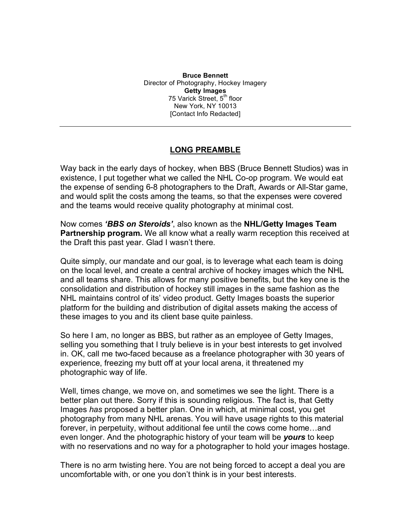**Bruce Bennett** Director of Photography, Hockey Imagery **Getty Images** 75 Varick Street, 5<sup>th</sup> floor New York, NY 10013 [Contact Info Redacted]

#### **LONG PREAMBLE**

Way back in the early days of hockey, when BBS (Bruce Bennett Studios) was in existence, I put together what we called the NHL Co-op program. We would eat the expense of sending 6-8 photographers to the Draft, Awards or All-Star game, and would split the costs among the teams, so that the expenses were covered and the teams would receive quality photography at minimal cost.

Now comes *'BBS on Steroids'*, also known as the **NHL/Getty Images Team Partnership program.** We all know what a really warm reception this received at the Draft this past year. Glad I wasn't there.

Quite simply, our mandate and our goal, is to leverage what each team is doing on the local level, and create a central archive of hockey images which the NHL and all teams share. This allows for many positive benefits, but the key one is the consolidation and distribution of hockey still images in the same fashion as the NHL maintains control of its' video product. Getty Images boasts the superior platform for the building and distribution of digital assets making the access of these images to you and its client base quite painless.

So here I am, no longer as BBS, but rather as an employee of Getty Images, selling you something that I truly believe is in your best interests to get involved in. OK, call me two-faced because as a freelance photographer with 30 years of experience, freezing my butt off at your local arena, it threatened my photographic way of life.

Well, times change, we move on, and sometimes we see the light. There is a better plan out there. Sorry if this is sounding religious. The fact is, that Getty Images *has* proposed a better plan. One in which, at minimal cost, you get photography from many NHL arenas. You will have usage rights to this material forever, in perpetuity, without additional fee until the cows come home…and even longer. And the photographic history of your team will be *yours* to keep with no reservations and no way for a photographer to hold your images hostage.

There is no arm twisting here. You are not being forced to accept a deal you are uncomfortable with, or one you don't think is in your best interests.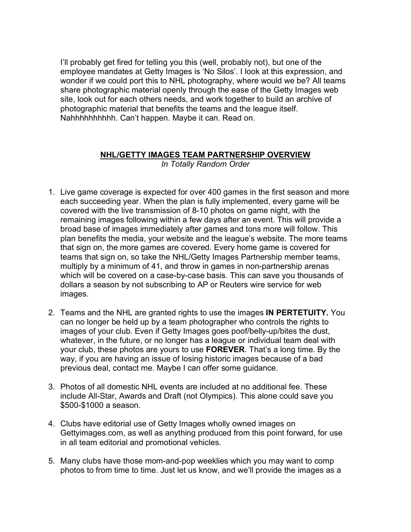I'll probably get fired for telling you this (well, probably not), but one of the employee mandates at Getty Images is 'No Silos'. I look at this expression, and wonder if we could port this to NHL photography, where would we be? All teams share photographic material openly through the ease of the Getty Images web site, look out for each others needs, and work together to build an archive of photographic material that benefits the teams and the league itself. Nahhhhhhhhhh. Can't happen. Maybe it can. Read on.

#### **NHL/GETTY IMAGES TEAM PARTNERSHIP OVERVIEW**

*In Totally Random Order*

- 1. Live game coverage is expected for over 400 games in the first season and more each succeeding year. When the plan is fully implemented, every game will be covered with the live transmission of 8-10 photos on game night, with the remaining images following within a few days after an event. This will provide a broad base of images immediately after games and tons more will follow. This plan benefits the media, your website and the league's website. The more teams that sign on, the more games are covered. Every home game is covered for teams that sign on, so take the NHL/Getty Images Partnership member teams, multiply by a minimum of 41, and throw in games in non-partnership arenas which will be covered on a case-by-case basis. This can save you thousands of dollars a season by not subscribing to AP or Reuters wire service for web images.
- 2. Teams and the NHL are granted rights to use the images **IN PERTETUITY.** You can no longer be held up by a team photographer who controls the rights to images of your club. Even if Getty Images goes poof/belly-up/bites the dust, whatever, in the future, or no longer has a league or individual team deal with your club, these photos are yours to use **FOREVER**. That's a long time. By the way, if you are having an issue of losing historic images because of a bad previous deal, contact me. Maybe I can offer some guidance.
- 3. Photos of all domestic NHL events are included at no additional fee. These include All-Star, Awards and Draft (not Olympics). This alone could save you \$500-\$1000 a season.
- 4. Clubs have editorial use of Getty Images wholly owned images on Gettyimages.com, as well as anything produced from this point forward, for use in all team editorial and promotional vehicles.
- 5. Many clubs have those mom-and-pop weeklies which you may want to comp photos to from time to time. Just let us know, and we'll provide the images as a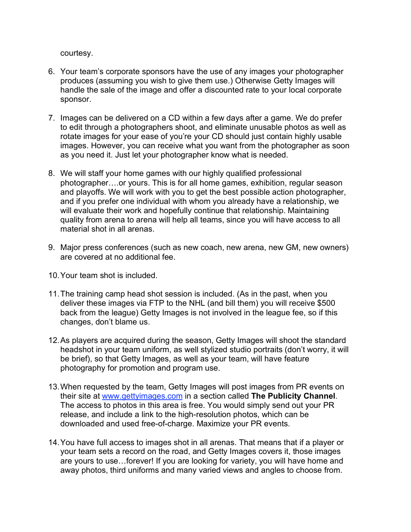courtesy.

- 6. Your team's corporate sponsors have the use of any images your photographer produces (assuming you wish to give them use.) Otherwise Getty Images will handle the sale of the image and offer a discounted rate to your local corporate sponsor.
- 7. Images can be delivered on a CD within a few days after a game. We do prefer to edit through a photographers shoot, and eliminate unusable photos as well as rotate images for your ease of you're your CD should just contain highly usable images. However, you can receive what you want from the photographer as soon as you need it. Just let your photographer know what is needed.
- 8. We will staff your home games with our highly qualified professional photographer….or yours. This is for all home games, exhibition, regular season and playoffs. We will work with you to get the best possible action photographer, and if you prefer one individual with whom you already have a relationship, we will evaluate their work and hopefully continue that relationship. Maintaining quality from arena to arena will help all teams, since you will have access to all material shot in all arenas.
- 9. Major press conferences (such as new coach, new arena, new GM, new owners) are covered at no additional fee.
- 10.Your team shot is included.
- 11.The training camp head shot session is included. (As in the past, when you deliver these images via FTP to the NHL (and bill them) you will receive \$500 back from the league) Getty Images is not involved in the league fee, so if this changes, don't blame us.
- 12.As players are acquired during the season, Getty Images will shoot the standard headshot in your team uniform, as well stylized studio portraits (don't worry, it will be brief), so that Getty Images, as well as your team, will have feature photography for promotion and program use.
- 13.When requested by the team, Getty Images will post images from PR events on their site at www.gettyimages.com in a section called **The Publicity Channel**. The access to photos in this area is free. You would simply send out your PR release, and include a link to the high-resolution photos, which can be downloaded and used free-of-charge. Maximize your PR events.
- 14.You have full access to images shot in all arenas. That means that if a player or your team sets a record on the road, and Getty Images covers it, those images are yours to use…forever! If you are looking for variety, you will have home and away photos, third uniforms and many varied views and angles to choose from.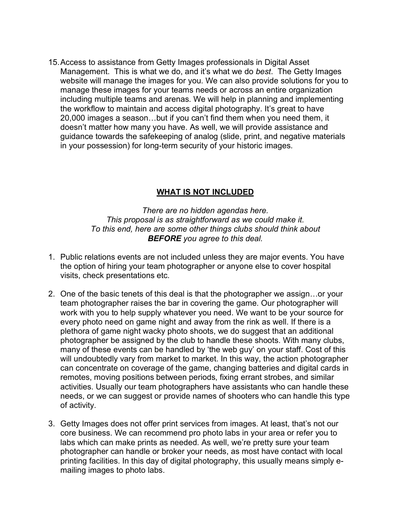15.Access to assistance from Getty Images professionals in Digital Asset Management. This is what we do, and it's what we do *best*. The Getty Images website will manage the images for you. We can also provide solutions for you to manage these images for your teams needs or across an entire organization including multiple teams and arenas. We will help in planning and implementing the workflow to maintain and access digital photography. It's great to have 20,000 images a season…but if you can't find them when you need them, it doesn't matter how many you have. As well, we will provide assistance and guidance towards the safekeeping of analog (slide, print, and negative materials in your possession) for long-term security of your historic images.

#### **WHAT IS NOT INCLUDED**

*There are no hidden agendas here. This proposal is as straightforward as we could make it. To this end, here are some other things clubs should think about BEFORE you agree to this deal.*

- 1. Public relations events are not included unless they are major events. You have the option of hiring your team photographer or anyone else to cover hospital visits, check presentations etc.
- 2. One of the basic tenets of this deal is that the photographer we assign…or your team photographer raises the bar in covering the game. Our photographer will work with you to help supply whatever you need. We want to be your source for every photo need on game night and away from the rink as well. If there is a plethora of game night wacky photo shoots, we do suggest that an additional photographer be assigned by the club to handle these shoots. With many clubs, many of these events can be handled by 'the web guy' on your staff. Cost of this will undoubtedly vary from market to market. In this way, the action photographer can concentrate on coverage of the game, changing batteries and digital cards in remotes, moving positions between periods, fixing errant strobes, and similar activities. Usually our team photographers have assistants who can handle these needs, or we can suggest or provide names of shooters who can handle this type of activity.
- 3. Getty Images does not offer print services from images. At least, that's not our core business. We can recommend pro photo labs in your area or refer you to labs which can make prints as needed. As well, we're pretty sure your team photographer can handle or broker your needs, as most have contact with local printing facilities. In this day of digital photography, this usually means simply emailing images to photo labs.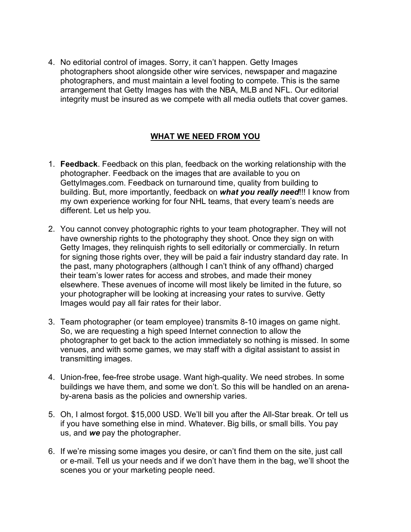4. No editorial control of images. Sorry, it can't happen. Getty Images photographers shoot alongside other wire services, newspaper and magazine photographers, and must maintain a level footing to compete. This is the same arrangement that Getty Images has with the NBA, MLB and NFL. Our editorial integrity must be insured as we compete with all media outlets that cover games.

# **WHAT WE NEED FROM YOU**

- 1. **Feedback**. Feedback on this plan, feedback on the working relationship with the photographer. Feedback on the images that are available to you on GettyImages.com. Feedback on turnaround time, quality from building to building. But, more importantly, feedback on *what you really need*!!! I know from my own experience working for four NHL teams, that every team's needs are different. Let us help you.
- 2. You cannot convey photographic rights to your team photographer. They will not have ownership rights to the photography they shoot. Once they sign on with Getty Images, they relinquish rights to sell editorially or commercially. In return for signing those rights over, they will be paid a fair industry standard day rate. In the past, many photographers (although I can't think of any offhand) charged their team's lower rates for access and strobes, and made their money elsewhere. These avenues of income will most likely be limited in the future, so your photographer will be looking at increasing your rates to survive. Getty Images would pay all fair rates for their labor.
- 3. Team photographer (or team employee) transmits 8-10 images on game night. So, we are requesting a high speed Internet connection to allow the photographer to get back to the action immediately so nothing is missed. In some venues, and with some games, we may staff with a digital assistant to assist in transmitting images.
- 4. Union-free, fee-free strobe usage. Want high-quality. We need strobes. In some buildings we have them, and some we don't. So this will be handled on an arenaby-arena basis as the policies and ownership varies.
- 5. Oh, I almost forgot. \$15,000 USD. We'll bill you after the All-Star break. Or tell us if you have something else in mind. Whatever. Big bills, or small bills. You pay us, and *we* pay the photographer.
- 6. If we're missing some images you desire, or can't find them on the site, just call or e-mail. Tell us your needs and if we don't have them in the bag, we'll shoot the scenes you or your marketing people need.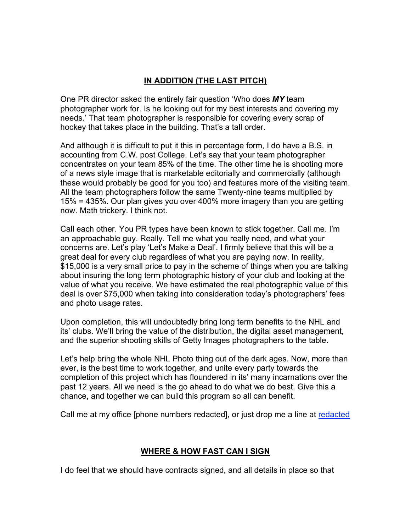# **IN ADDITION (THE LAST PITCH)**

One PR director asked the entirely fair question 'Who does *MY* team photographer work for. Is he looking out for my best interests and covering my needs.' That team photographer is responsible for covering every scrap of hockey that takes place in the building. That's a tall order.

And although it is difficult to put it this in percentage form, I do have a B.S. in accounting from C.W. post College. Let's say that your team photographer concentrates on your team 85% of the time. The other time he is shooting more of a news style image that is marketable editorially and commercially (although these would probably be good for you too) and features more of the visiting team. All the team photographers follow the same Twenty-nine teams multiplied by 15% = 435%. Our plan gives you over 400% more imagery than you are getting now. Math trickery. I think not.

Call each other. You PR types have been known to stick together. Call me. I'm an approachable guy. Really. Tell me what you really need, and what your concerns are. Let's play 'Let's Make a Deal'. I firmly believe that this will be a great deal for every club regardless of what you are paying now. In reality, \$15,000 is a very small price to pay in the scheme of things when you are talking about insuring the long term photographic history of your club and looking at the value of what you receive. We have estimated the real photographic value of this deal is over \$75,000 when taking into consideration today's photographers' fees and photo usage rates.

Upon completion, this will undoubtedly bring long term benefits to the NHL and its' clubs. We'll bring the value of the distribution, the digital asset management, and the superior shooting skills of Getty Images photographers to the table.

Let's help bring the whole NHL Photo thing out of the dark ages. Now, more than ever, is the best time to work together, and unite every party towards the completion of this project which has floundered in its' many incarnations over the past 12 years. All we need is the go ahead to do what we do best. Give this a chance, and together we can build this program so all can benefit.

Call me at my office [phone numbers redacted], or just drop me a line at redacted

### **WHERE & HOW FAST CAN I SIGN**

I do feel that we should have contracts signed, and all details in place so that